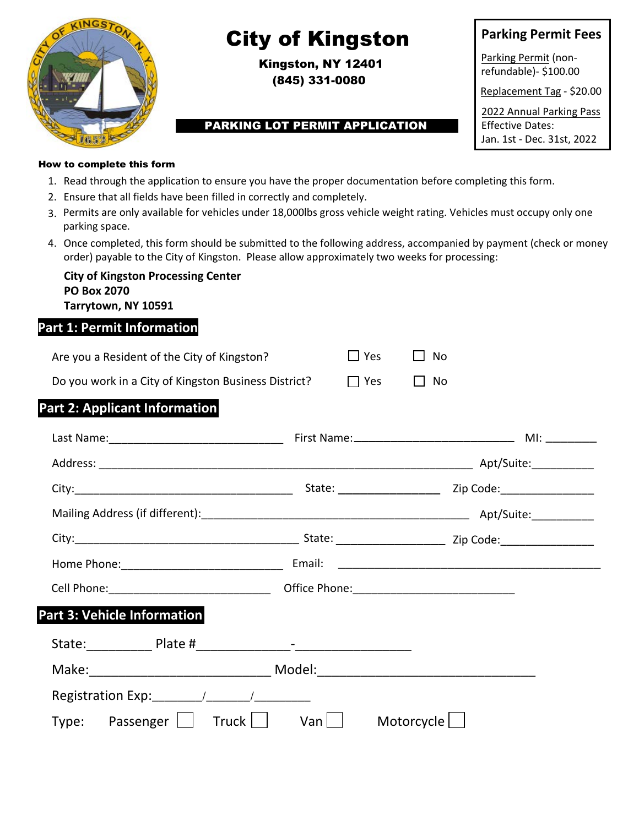

# City of Kingston

Kingston, NY 12401 (845) 331-0080

#### PARKING LOT PERMIT APPLICATION

**Parking Permit Fees**

Parking Permit (nonrefundable)- \$100.00

Replacement Tag - \$20.00

2022 Annual Parking Pass Effective Dates: Jan. 1st - Dec. 31st, 2022

How to complete this form

- 1. Read through the application to ensure you have the proper documentation before completing this form.
- 2. Ensure that all fields have been filled in correctly and completely.
- 3. Permits are only available for vehicles under 18,000lbs gross vehicle weight rating. Vehicles must occupy only one parking space.
- 4. Once completed, this form should be submitted to the following address, accompanied by payment (check or money order) payable to the City of Kingston. Please allow approximately two weeks for processing:

| <b>City of Kingston Processing Center</b> |
|-------------------------------------------|
| <b>PO Box 2070</b>                        |
| Tarrytown, NY 10591                       |

### **Part 1: Permit Information**

| Are you a Resident of the City of Kingston?          | $\Box$ Yes | II No     |  |
|------------------------------------------------------|------------|-----------|--|
| Do you work in a City of Kingston Business District? | I l Yes    | $\Box$ No |  |

### **Part 2: Applicant Information**

|                                                                                                                                                                                                                               |     | Office Phone: 2000 2000 2010 2010 2010 2010 2021 2021 2022 2023 2024 2022 2022 2023 2024 2022 2023 2024 2022 20 |
|-------------------------------------------------------------------------------------------------------------------------------------------------------------------------------------------------------------------------------|-----|-----------------------------------------------------------------------------------------------------------------|
| Part 3: Vehicle Information                                                                                                                                                                                                   |     |                                                                                                                 |
|                                                                                                                                                                                                                               |     |                                                                                                                 |
| Make: Model: Model: All Model: All Model: All Model: All Model: All Model: All Model: All Model: All Model: All Model: All Model: All Model: All Model: All Model: All Model: All Model: All Model: All Model: All Model: All |     |                                                                                                                 |
|                                                                                                                                                                                                                               |     |                                                                                                                 |
| Truck  <br>$Type:$ Passenger $\vert \ \vert$                                                                                                                                                                                  | Van | Motorcycle                                                                                                      |